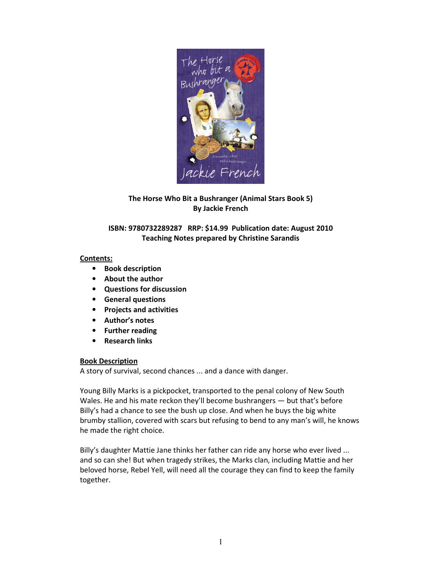

# The Horse Who Bit a Bushranger (Animal Stars Book 5) By Jackie French

# ISBN: 9780732289287 RRP: \$14.99 Publication date: August 2010 Teaching Notes prepared by Christine Sarandis

# Contents:

- Book description
- About the author
- Questions for discussion
- General questions
- Projects and activities
- Author's notes
- Further reading
- Research links

# Book Description

A story of survival, second chances ... and a dance with danger.

Young Billy Marks is a pickpocket, transported to the penal colony of New South Wales. He and his mate reckon they'll become bushrangers — but that's before Billy's had a chance to see the bush up close. And when he buys the big white brumby stallion, covered with scars but refusing to bend to any man's will, he knows he made the right choice.

Billy's daughter Mattie Jane thinks her father can ride any horse who ever lived ... and so can she! But when tragedy strikes, the Marks clan, including Mattie and her beloved horse, Rebel Yell, will need all the courage they can find to keep the family together.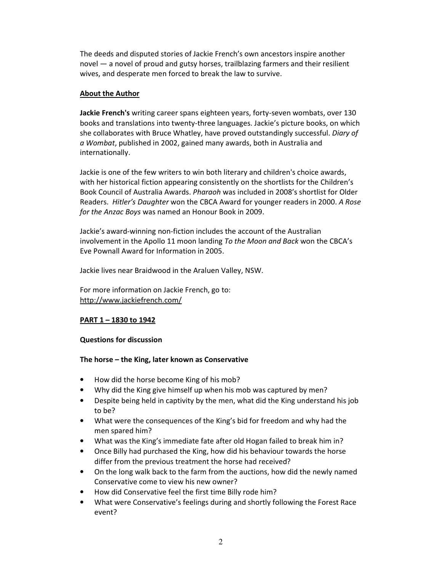The deeds and disputed stories of Jackie French's own ancestors inspire another novel — a novel of proud and gutsy horses, trailblazing farmers and their resilient wives, and desperate men forced to break the law to survive.

# About the Author

Jackie French's writing career spans eighteen years, forty-seven wombats, over 130 books and translations into twenty-three languages. Jackie's picture books, on which she collaborates with Bruce Whatley, have proved outstandingly successful. Diary of a Wombat, published in 2002, gained many awards, both in Australia and internationally.

Jackie is one of the few writers to win both literary and children's choice awards, with her historical fiction appearing consistently on the shortlists for the Children's Book Council of Australia Awards. Pharaoh was included in 2008's shortlist for Older Readers. Hitler's Daughter won the CBCA Award for younger readers in 2000. A Rose for the Anzac Boys was named an Honour Book in 2009.

Jackie's award-winning non-fiction includes the account of the Australian involvement in the Apollo 11 moon landing To the Moon and Back won the CBCA's Eve Pownall Award for Information in 2005.

Jackie lives near Braidwood in the Araluen Valley, NSW.

For more information on Jackie French, go to: http://www.jackiefrench.com/

# PART 1 – 1830 to 1942

## Questions for discussion

## The horse – the King, later known as Conservative

- How did the horse become King of his mob?
- Why did the King give himself up when his mob was captured by men?
- Despite being held in captivity by the men, what did the King understand his job to be?
- What were the consequences of the King's bid for freedom and why had the men spared him?
- What was the King's immediate fate after old Hogan failed to break him in?
- Once Billy had purchased the King, how did his behaviour towards the horse differ from the previous treatment the horse had received?
- On the long walk back to the farm from the auctions, how did the newly named Conservative come to view his new owner?
- How did Conservative feel the first time Billy rode him?
- What were Conservative's feelings during and shortly following the Forest Race event?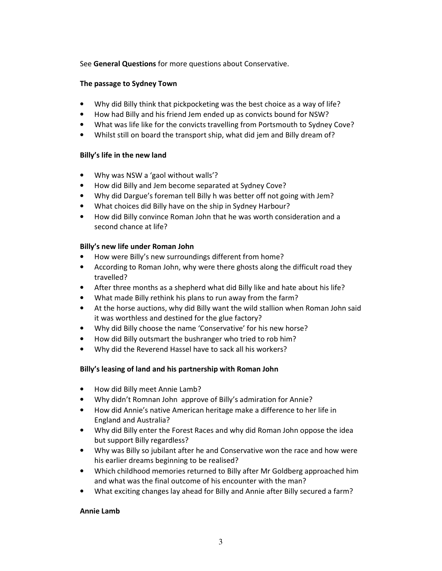See General Questions for more questions about Conservative.

## The passage to Sydney Town

- Why did Billy think that pickpocketing was the best choice as a way of life?
- How had Billy and his friend Jem ended up as convicts bound for NSW?
- What was life like for the convicts travelling from Portsmouth to Sydney Cove?
- Whilst still on board the transport ship, what did jem and Billy dream of?

## Billy's life in the new land

- Why was NSW a 'gaol without walls'?
- How did Billy and Jem become separated at Sydney Cove?
- Why did Dargue's foreman tell Billy h was better off not going with Jem?
- What choices did Billy have on the ship in Sydney Harbour?
- How did Billy convince Roman John that he was worth consideration and a second chance at life?

## Billy's new life under Roman John

- How were Billy's new surroundings different from home?
- According to Roman John, why were there ghosts along the difficult road they travelled?
- After three months as a shepherd what did Billy like and hate about his life?
- What made Billy rethink his plans to run away from the farm?
- At the horse auctions, why did Billy want the wild stallion when Roman John said it was worthless and destined for the glue factory?
- Why did Billy choose the name 'Conservative' for his new horse?
- How did Billy outsmart the bushranger who tried to rob him?
- Why did the Reverend Hassel have to sack all his workers?

# Billy's leasing of land and his partnership with Roman John

- How did Billy meet Annie Lamb?
- Why didn't Romnan John approve of Billy's admiration for Annie?
- How did Annie's native American heritage make a difference to her life in England and Australia?
- Why did Billy enter the Forest Races and why did Roman John oppose the idea but support Billy regardless?
- Why was Billy so jubilant after he and Conservative won the race and how were his earlier dreams beginning to be realised?
- Which childhood memories returned to Billy after Mr Goldberg approached him and what was the final outcome of his encounter with the man?
- What exciting changes lay ahead for Billy and Annie after Billy secured a farm?

# Annie Lamb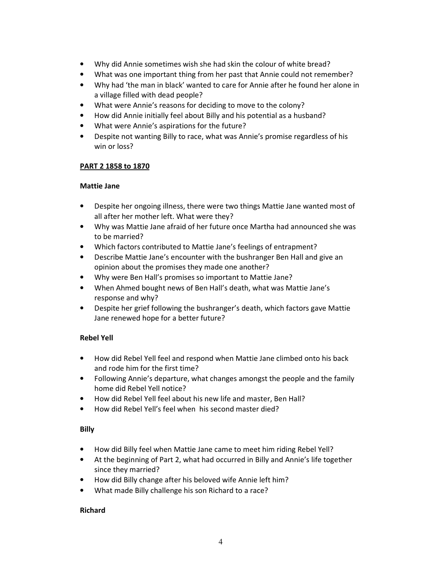- Why did Annie sometimes wish she had skin the colour of white bread?
- What was one important thing from her past that Annie could not remember?
- Why had 'the man in black' wanted to care for Annie after he found her alone in a village filled with dead people?
- What were Annie's reasons for deciding to move to the colony?
- How did Annie initially feel about Billy and his potential as a husband?
- What were Annie's aspirations for the future?
- Despite not wanting Billy to race, what was Annie's promise regardless of his win or loss?

## PART 2 1858 to 1870

## Mattie Jane

- Despite her ongoing illness, there were two things Mattie Jane wanted most of all after her mother left. What were they?
- Why was Mattie Jane afraid of her future once Martha had announced she was to be married?
- Which factors contributed to Mattie Jane's feelings of entrapment?
- Describe Mattie Jane's encounter with the bushranger Ben Hall and give an opinion about the promises they made one another?
- Why were Ben Hall's promises so important to Mattie Jane?
- When Ahmed bought news of Ben Hall's death, what was Mattie Jane's response and why?
- Despite her grief following the bushranger's death, which factors gave Mattie Jane renewed hope for a better future?

## Rebel Yell

- How did Rebel Yell feel and respond when Mattie Jane climbed onto his back and rode him for the first time?
- Following Annie's departure, what changes amongst the people and the family home did Rebel Yell notice?
- How did Rebel Yell feel about his new life and master, Ben Hall?
- How did Rebel Yell's feel when his second master died?

## Billy

- How did Billy feel when Mattie Jane came to meet him riding Rebel Yell?
- At the beginning of Part 2, what had occurred in Billy and Annie's life together since they married?
- How did Billy change after his beloved wife Annie left him?
- What made Billy challenge his son Richard to a race?

## Richard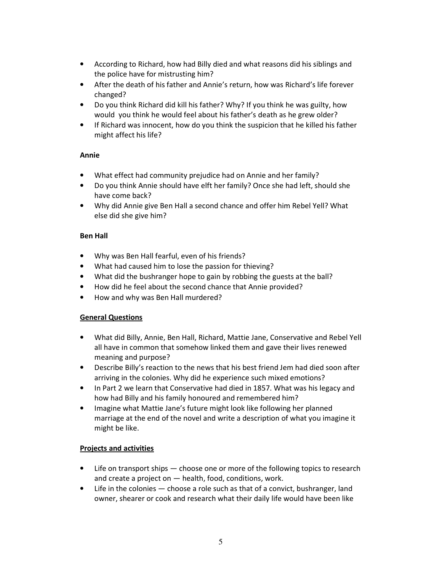- According to Richard, how had Billy died and what reasons did his siblings and the police have for mistrusting him?
- After the death of his father and Annie's return, how was Richard's life forever changed?
- Do you think Richard did kill his father? Why? If you think he was guilty, how would you think he would feel about his father's death as he grew older?
- If Richard was innocent, how do you think the suspicion that he killed his father might affect his life?

# Annie

- What effect had community prejudice had on Annie and her family?
- Do you think Annie should have elft her family? Once she had left, should she have come back?
- Why did Annie give Ben Hall a second chance and offer him Rebel Yell? What else did she give him?

## Ben Hall

- Why was Ben Hall fearful, even of his friends?
- What had caused him to lose the passion for thieving?
- What did the bushranger hope to gain by robbing the guests at the ball?
- How did he feel about the second chance that Annie provided?
- How and why was Ben Hall murdered?

# General Questions

- What did Billy, Annie, Ben Hall, Richard, Mattie Jane, Conservative and Rebel Yell all have in common that somehow linked them and gave their lives renewed meaning and purpose?
- Describe Billy's reaction to the news that his best friend Jem had died soon after arriving in the colonies. Why did he experience such mixed emotions?
- In Part 2 we learn that Conservative had died in 1857. What was his legacy and how had Billy and his family honoured and remembered him?
- Imagine what Mattie Jane's future might look like following her planned marriage at the end of the novel and write a description of what you imagine it might be like.

# Projects and activities

- Life on transport ships choose one or more of the following topics to research and create a project on — health, food, conditions, work.
- Life in the colonies choose a role such as that of a convict, bushranger, land owner, shearer or cook and research what their daily life would have been like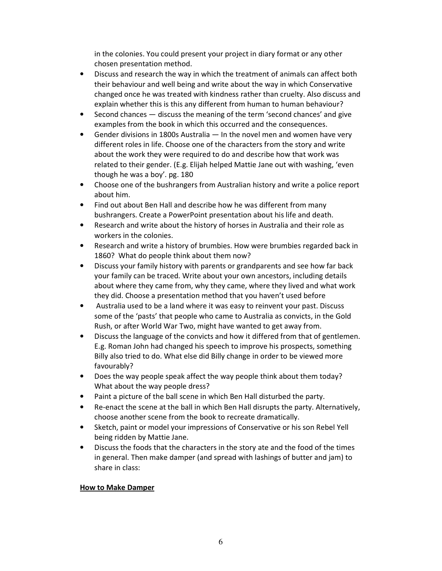in the colonies. You could present your project in diary format or any other chosen presentation method.

- Discuss and research the way in which the treatment of animals can affect both their behaviour and well being and write about the way in which Conservative changed once he was treated with kindness rather than cruelty. Also discuss and explain whether this is this any different from human to human behaviour?
- Second chances discuss the meaning of the term 'second chances' and give examples from the book in which this occurred and the consequences.
- Gender divisions in 1800s Australia  $-$  In the novel men and women have very different roles in life. Choose one of the characters from the story and write about the work they were required to do and describe how that work was related to their gender. (E.g. Elijah helped Mattie Jane out with washing, 'even though he was a boy'. pg. 180
- Choose one of the bushrangers from Australian history and write a police report about him.
- Find out about Ben Hall and describe how he was different from many bushrangers. Create a PowerPoint presentation about his life and death.
- Research and write about the history of horses in Australia and their role as workers in the colonies.
- Research and write a history of brumbies. How were brumbies regarded back in 1860? What do people think about them now?
- Discuss your family history with parents or grandparents and see how far back your family can be traced. Write about your own ancestors, including details about where they came from, why they came, where they lived and what work they did. Choose a presentation method that you haven't used before
- Australia used to be a land where it was easy to reinvent your past. Discuss some of the 'pasts' that people who came to Australia as convicts, in the Gold Rush, or after World War Two, might have wanted to get away from.
- Discuss the language of the convicts and how it differed from that of gentlemen. E.g. Roman John had changed his speech to improve his prospects, something Billy also tried to do. What else did Billy change in order to be viewed more favourably?
- Does the way people speak affect the way people think about them today? What about the way people dress?
- Paint a picture of the ball scene in which Ben Hall disturbed the party.
- Re-enact the scene at the ball in which Ben Hall disrupts the party. Alternatively, choose another scene from the book to recreate dramatically.
- Sketch, paint or model your impressions of Conservative or his son Rebel Yell being ridden by Mattie Jane.
- Discuss the foods that the characters in the story ate and the food of the times in general. Then make damper (and spread with lashings of butter and jam) to share in class:

# How to Make Damper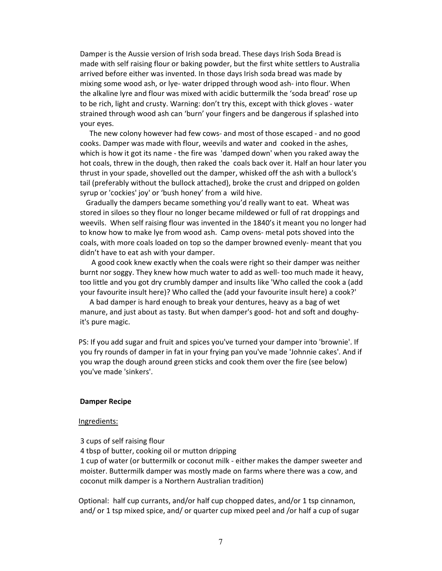Damper is the Aussie version of Irish soda bread. These days Irish Soda Bread is made with self raising flour or baking powder, but the first white settlers to Australia arrived before either was invented. In those days Irish soda bread was made by mixing some wood ash, or lye- water dripped through wood ash- into flour. When the alkaline lyre and flour was mixed with acidic buttermilk the 'soda bread' rose up to be rich, light and crusty. Warning: don't try this, except with thick gloves - water strained through wood ash can 'burn' your fingers and be dangerous if splashed into your eyes.

 The new colony however had few cows- and most of those escaped - and no good cooks. Damper was made with flour, weevils and water and cooked in the ashes, which is how it got its name - the fire was 'damped down' when you raked away the hot coals, threw in the dough, then raked the coals back over it. Half an hour later you thrust in your spade, shovelled out the damper, whisked off the ash with a bullock's tail (preferably without the bullock attached), broke the crust and dripped on golden syrup or 'cockies' joy' or 'bush honey' from a wild hive.

 Gradually the dampers became something you'd really want to eat. Wheat was stored in siloes so they flour no longer became mildewed or full of rat droppings and weevils. When self raising flour was invented in the 1840's it meant you no longer had to know how to make lye from wood ash. Camp ovens- metal pots shoved into the coals, with more coals loaded on top so the damper browned evenly- meant that you didn't have to eat ash with your damper.

 A good cook knew exactly when the coals were right so their damper was neither burnt nor soggy. They knew how much water to add as well- too much made it heavy, too little and you got dry crumbly damper and insults like 'Who called the cook a (add your favourite insult here)? Who called the (add your favourite insult here) a cook?'

 A bad damper is hard enough to break your dentures, heavy as a bag of wet manure, and just about as tasty. But when damper's good- hot and soft and doughyit's pure magic.

PS: If you add sugar and fruit and spices you've turned your damper into 'brownie'. If you fry rounds of damper in fat in your frying pan you've made 'Johnnie cakes'. And if you wrap the dough around green sticks and cook them over the fire (see below) you've made 'sinkers'.

#### Damper Recipe

#### Ingredients:

3 cups of self raising flour

4 tbsp of butter, cooking oil or mutton dripping

 1 cup of water (or buttermilk or coconut milk - either makes the damper sweeter and moister. Buttermilk damper was mostly made on farms where there was a cow, and coconut milk damper is a Northern Australian tradition)

Optional: half cup currants, and/or half cup chopped dates, and/or 1 tsp cinnamon, and/ or 1 tsp mixed spice, and/ or quarter cup mixed peel and /or half a cup of sugar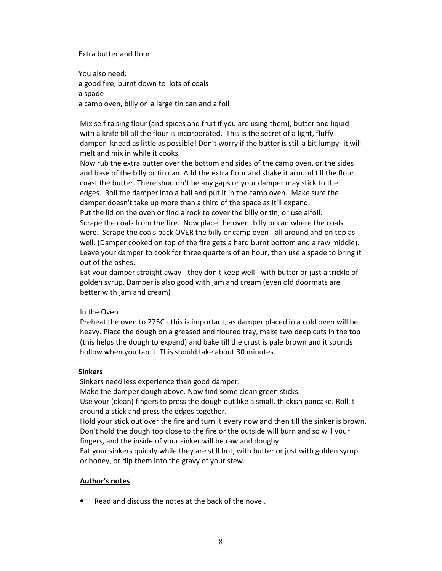## Extra butter and flour

You also need: a good fire, burnt down to lots of coals a spade a camp oven, billy or a large tin can and alfoil

Mix self raising flour (and spices and fruit if you are using them), butter and liquid with a knife till all the flour is incorporated. This is the secret of a light, fluffy damper- knead as little as possible! Don't worry if the butter is still a bit lumpy- it will melt and mix in while it cooks.

Now rub the extra butter over the bottom and sides of the camp oven, or the sides and base of the billy or tin can. Add the extra flour and shake it around till the flour coast the butter. There shouldn't be any gaps or your damper may stick to the edges. Roll the damper into a ball and put it in the camp oven. Make sure the damper doesn't take up more than a third of the space as it'll expand. Put the lid on the oven or find a rock to cover the billy or tin, or use alfoil. Scrape the coals from the fire. Now place the oven, billy or can where the coals were. Scrape the coals back OVER the billy or camp oven - all around and on top as well. (Damper cooked on top of the fire gets a hard burnt bottom and a raw middle). Leave your damper to cook for three quarters of an hour, then use a spade to bring it out of the ashes.

Eat your damper straight away - they don't keep well - with butter or just a trickle of golden syrup. Damper is also good with jam and cream (even old doormats are better with jam and cream)

### In the Oven

Preheat the oven to 275C - this is important, as damper placed in a cold oven will be heavy. Place the dough on a greased and floured tray, make two deep cuts in the top (this helps the dough to expand) and bake till the crust is pale brown and it sounds hollow when you tap it. This should take about 30 minutes.

### **Sinkers**

Sinkers need less experience than good damper.

Make the damper dough above. Now find some clean green sticks.

 Use your (clean) fingers to press the dough out like a small, thickish pancake. Roll it around a stick and press the edges together.

 Hold your stick out over the fire and turn it every now and then till the sinker is brown. Don't hold the dough too close to the fire or the outside will burn and so will your fingers, and the inside of your sinker will be raw and doughy.

 Eat your sinkers quickly while they are still hot, with butter or just with golden syrup or honey, or dip them into the gravy of your stew.

## Author's notes

• Read and discuss the notes at the back of the novel.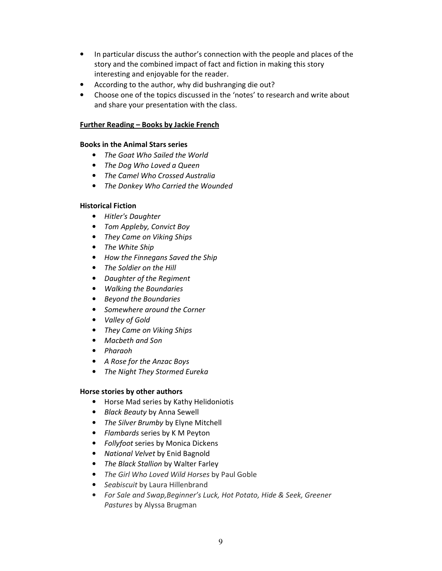- In particular discuss the author's connection with the people and places of the story and the combined impact of fact and fiction in making this story interesting and enjoyable for the reader.
- According to the author, why did bushranging die out?
- Choose one of the topics discussed in the 'notes' to research and write about and share your presentation with the class.

# Further Reading – Books by Jackie French

## Books in the Animal Stars series

- The Goat Who Sailed the World
- The Dog Who Loved a Queen
- The Camel Who Crossed Australia
- The Donkey Who Carried the Wounded

## Historical Fiction

- Hitler's Daughter
- Tom Appleby, Convict Boy
- They Came on Viking Ships
- The White Ship
- How the Finnegans Saved the Ship
- The Soldier on the Hill
- Daughter of the Regiment
- Walking the Boundaries
- Beyond the Boundaries
- Somewhere around the Corner
- Valley of Gold
- They Came on Viking Ships
- Macbeth and Son
- Pharaoh
- A Rose for the Anzac Boys
- The Night They Stormed Eureka

## Horse stories by other authors

- Horse Mad series by Kathy Helidoniotis
- Black Beauty by Anna Sewell
- The Silver Brumby by Elyne Mitchell
- Flambards series by K M Peyton
- Follyfoot series by Monica Dickens
- National Velvet by Enid Bagnold
- The Black Stallion by Walter Farley
- The Girl Who Loved Wild Horses by Paul Goble
- Seabiscuit by Laura Hillenbrand
- For Sale and Swap,Beginner's Luck, Hot Potato, Hide & Seek, Greener Pastures by Alyssa Brugman